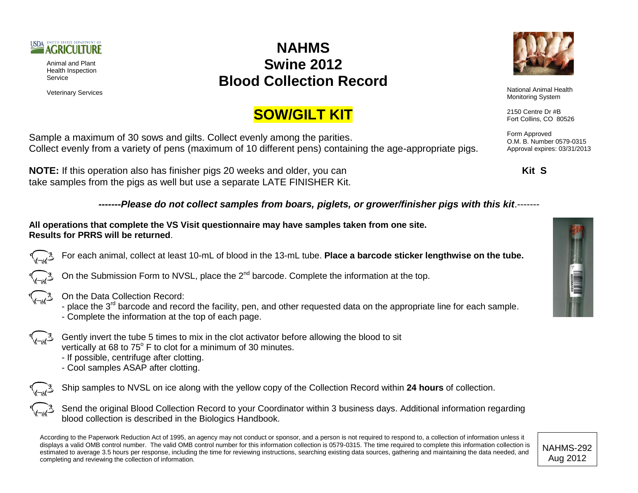

Animal and Plant Health Inspection Service

## **NAHMS Swine 2012 Blood Collection Record**



Veterinary Services **National Animal Health**<br>
National Animal Health<br>
Maritagian Curtan Monitoring System

> 2150 Centre Dr #B Fort Collins, CO 80526

Form Approved O.M. B. Number 0579-0315 Approval expires: 03/31/2013

## **SOW/GILT KIT**

Sample a maximum of 30 sows and gilts. Collect evenly among the parities. Collect evenly from a variety of pens (maximum of 10 different pens) containing the age-appropriate pigs.

**NOTE:** If this operation also has finisher pigs 20 weeks and older, you can **Kit S** take samples from the pigs as well but use a separate LATE FINISHER Kit.

*-------Please do not collect samples from boars, piglets, or grower/finisher pigs with this kit*.-------

**All operations that complete the VS Visit questionnaire may have samples taken from one site. Results for PRRS will be returned**.

For each animal, collect at least 10-mL of blood in the 13-mL tube. **Place a barcode sticker lengthwise on the tube.**

On the Submission Form to NVSL, place the  $2^{nd}$  barcode. Complete the information at the top.



On the Data Collection Record:

- place the 3<sup>rd</sup> barcode and record the facility, pen, and other requested data on the appropriate line for each sample.
- Complete the information at the top of each page.
- Gently invert the tube 5 times to mix in the clot activator before allowing the blood to sit vertically at 68 to  $75^{\circ}$  F to clot for a minimum of 30 minutes.
	- If possible, centrifuge after clotting.
	- Cool samples ASAP after clotting.

Ship samples to NVSL on ice along with the yellow copy of the Collection Record within **24 hours** of collection.

Send the original Blood Collection Record to your Coordinator within 3 business days. Additional information regarding blood collection is described in the Biologics Handbook.

According to the Paperwork Reduction Act of 1995, an agency may not conduct or sponsor, and a person is not required to respond to, a collection of information unless it displays a valid OMB control number. The valid OMB control number for this information collection is 0579-0315. The time required to complete this information collection is estimated to average 3.5 hours per response, including the time for reviewing instructions, searching existing data sources, gathering and maintaining the data needed, and completing and reviewing the collection of information.



NAHMS-292 Aug 2012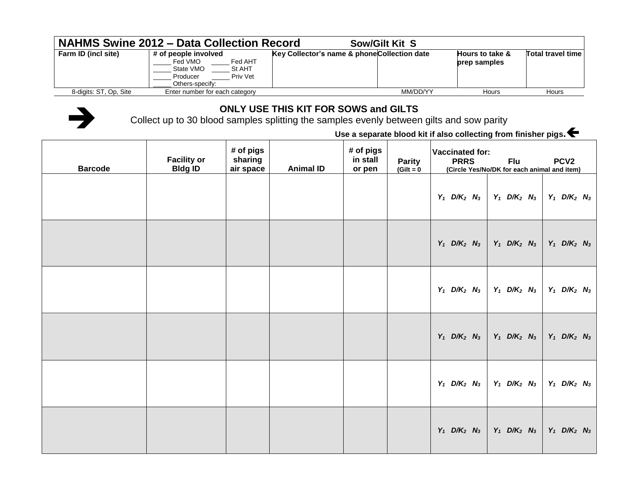| <b>NAHMS Swine 2012 - Data Collection Record</b><br><b>Sow/Gilt Kit S</b> |                                                                                                              |                                              |                                            |                   |  |  |  |  |  |  |
|---------------------------------------------------------------------------|--------------------------------------------------------------------------------------------------------------|----------------------------------------------|--------------------------------------------|-------------------|--|--|--|--|--|--|
| Farm ID (incl site)                                                       | # of people involved<br>Fed AHT<br>Fed VMO<br>State VMO<br>St AHT<br>Priv Vet<br>Producer<br>Others-specify: | Key Collector's name & phone Collection date | <b>Hours to take &amp;</b><br>prep samples | Total travel time |  |  |  |  |  |  |
| 8-digits: ST, Op, Site                                                    | Enter number for each category                                                                               | MM/DD/YY                                     | Hours                                      | Hours             |  |  |  |  |  |  |



## **ONLY USE THIS KIT FOR SOWS and GILTS**

Collect up to 30 blood samples splitting the samples evenly between gilts and sow parity

**Use a separate blood kit if also collecting from finisher pigs.**

| <b>Barcode</b> | <b>Facility or</b><br><b>Bldg ID</b> | # of pigs<br>sharing<br>air space | <b>Animal ID</b> | # of pigs<br>in stall<br>or pen | <b>Parity</b><br>$(Gilt = 0)$ | Vaccinated for:<br><b>PRRS</b><br>(Circle Yes/No/DK for each animal and item) | <b>Flu</b>                            | PCV <sub>2</sub>                      |
|----------------|--------------------------------------|-----------------------------------|------------------|---------------------------------|-------------------------------|-------------------------------------------------------------------------------|---------------------------------------|---------------------------------------|
|                |                                      |                                   |                  |                                 |                               | $Y_1$ D/K <sub>2</sub> N <sub>3</sub>                                         | $Y_1$ D/K <sub>2</sub> N <sub>3</sub> | $Y_1$ D/K <sub>2</sub> N <sub>3</sub> |
|                |                                      |                                   |                  |                                 |                               | $Y_1$ D/K <sub>2</sub> N <sub>3</sub>                                         | $Y_1$ D/K <sub>2</sub> N <sub>3</sub> | $Y_1$ D/K <sub>2</sub> N <sub>3</sub> |
|                |                                      |                                   |                  |                                 |                               | $Y_1$ D/K <sub>2</sub> N <sub>3</sub>                                         | $Y_1$ D/K <sub>2</sub> N <sub>3</sub> | $Y_1$ D/K <sub>2</sub> N <sub>3</sub> |
|                |                                      |                                   |                  |                                 |                               | $Y_1$ D/K <sub>2</sub> N <sub>3</sub>                                         | $Y_1$ D/K <sub>2</sub> N <sub>3</sub> | $Y_1$ D/K <sub>2</sub> N <sub>3</sub> |
|                |                                      |                                   |                  |                                 |                               | $Y_1$ D/K <sub>2</sub> N <sub>3</sub>                                         | $Y_1$ D/K <sub>2</sub> N <sub>3</sub> | $Y_1$ D/K <sub>2</sub> N <sub>3</sub> |
|                |                                      |                                   |                  |                                 |                               | $Y_1$ D/K <sub>2</sub> N <sub>3</sub>                                         | $Y_1$ D/K <sub>2</sub> N <sub>3</sub> | $Y_1$ D/K <sub>2</sub> N <sub>3</sub> |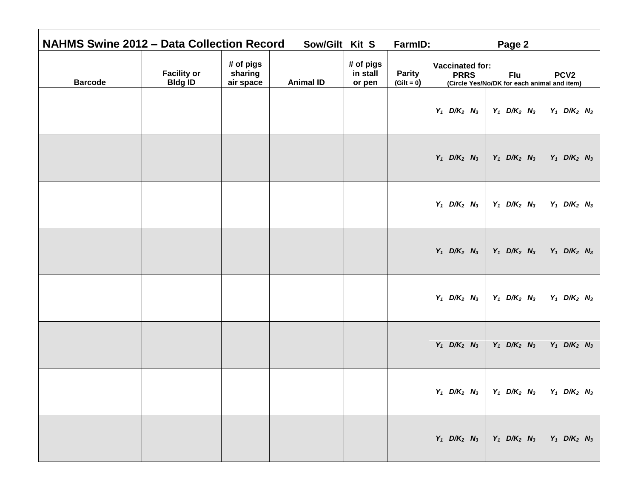| <b>NAHMS Swine 2012 - Data Collection Record</b> |                                      |                                   | Sow/Gilt Kit S   |                                 | FarmID:                       | Page 2                                                                                                                        |
|--------------------------------------------------|--------------------------------------|-----------------------------------|------------------|---------------------------------|-------------------------------|-------------------------------------------------------------------------------------------------------------------------------|
| <b>Barcode</b>                                   | <b>Facility or</b><br><b>Bldg ID</b> | # of pigs<br>sharing<br>air space | <b>Animal ID</b> | # of pigs<br>in stall<br>or pen | <b>Parity</b><br>$(Gilt = 0)$ | <b>Vaccinated for:</b><br><b>PRRS</b><br>PCV <sub>2</sub><br><b>Flu</b><br>(Circle Yes/No/DK for each animal and item)        |
|                                                  |                                      |                                   |                  |                                 |                               | $Y_1$ D/K <sub>2</sub> N <sub>3</sub><br>$Y_1$ D/K <sub>2</sub> N <sub>3</sub><br>$Y_1$ D/K <sub>2</sub> N <sub>3</sub>       |
|                                                  |                                      |                                   |                  |                                 |                               | $Y_1$ D/K <sub>2</sub> N <sub>3</sub><br>$Y_1$ D/K <sub>2</sub> N <sub>3</sub><br>$Y_1$ D/K <sub>2</sub> N <sub>3</sub>       |
|                                                  |                                      |                                   |                  |                                 |                               | $Y_1$ D/K <sub>2</sub> N <sub>3</sub><br>$Y_1$ D/K <sub>2</sub> N <sub>3</sub><br>$Y_1$ D/K <sub>2</sub> N <sub>3</sub>       |
|                                                  |                                      |                                   |                  |                                 |                               | $Y_1$ D/K <sub>2</sub> N <sub>3</sub><br>$Y_1$ D/K <sub>2</sub> N <sub>3</sub><br>$Y_1$ D/K <sub>2</sub> N <sub>3</sub>       |
|                                                  |                                      |                                   |                  |                                 |                               | $Y_1$ D/K <sub>2</sub> N <sub>3</sub><br>$Y_1$ D/K <sub>2</sub> N <sub>3</sub><br>$Y_1$ D/K <sub>2</sub> N <sub>3</sub>       |
|                                                  |                                      |                                   |                  |                                 |                               | $Y_1$ D/K <sub>2</sub> N <sub>3</sub><br>$Y_1$ D/K <sub>2</sub> N <sub>3</sub><br>$Y_1$ D/K <sub>2</sub> N <sub>3</sub>       |
|                                                  |                                      |                                   |                  |                                 |                               | $Y_1$ D/K <sub>2</sub> N <sub>3</sub> Y <sub>1</sub> D/K <sub>2</sub> N <sub>3</sub><br>$Y_1$ D/K <sub>2</sub> N <sub>3</sub> |
|                                                  |                                      |                                   |                  |                                 |                               | $Y_1$ D/K <sub>2</sub> N <sub>3</sub><br>$Y_1$ D/K <sub>2</sub> N <sub>3</sub><br>$Y_1$ D/K <sub>2</sub> N <sub>3</sub>       |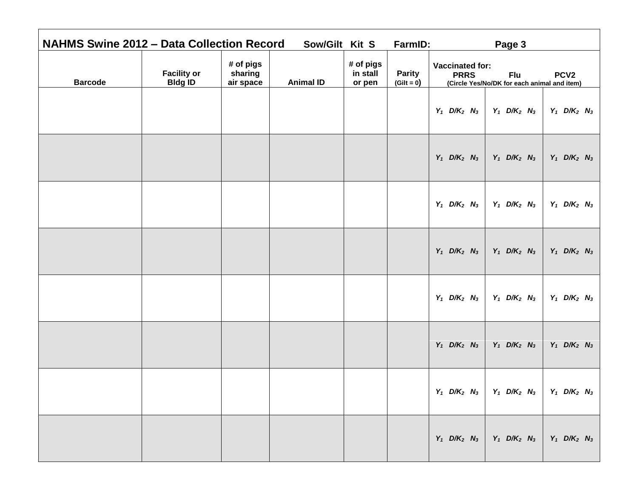| <b>NAHMS Swine 2012 - Data Collection Record</b> |                                      |                                   | Sow/Gilt Kit S   |                                 | FarmID:                       | Page 3                                                                                                                        |  |
|--------------------------------------------------|--------------------------------------|-----------------------------------|------------------|---------------------------------|-------------------------------|-------------------------------------------------------------------------------------------------------------------------------|--|
| <b>Barcode</b>                                   | <b>Facility or</b><br><b>Bldg ID</b> | # of pigs<br>sharing<br>air space | <b>Animal ID</b> | # of pigs<br>in stall<br>or pen | <b>Parity</b><br>$(Gilt = 0)$ | <b>Vaccinated for:</b><br><b>PRRS</b><br>PCV <sub>2</sub><br><b>Flu</b><br>(Circle Yes/No/DK for each animal and item)        |  |
|                                                  |                                      |                                   |                  |                                 |                               | $Y_1$ D/K <sub>2</sub> N <sub>3</sub><br>$Y_1$ D/K <sub>2</sub> N <sub>3</sub><br>$Y_1$ D/K <sub>2</sub> N <sub>3</sub>       |  |
|                                                  |                                      |                                   |                  |                                 |                               | $Y_1$ D/K <sub>2</sub> N <sub>3</sub><br>$Y_1$ D/K <sub>2</sub> N <sub>3</sub><br>$Y_1$ D/K <sub>2</sub> N <sub>3</sub>       |  |
|                                                  |                                      |                                   |                  |                                 |                               | $Y_1$ D/K <sub>2</sub> N <sub>3</sub><br>$Y_1$ D/K <sub>2</sub> N <sub>3</sub><br>$Y_1$ D/K <sub>2</sub> N <sub>3</sub>       |  |
|                                                  |                                      |                                   |                  |                                 |                               | $Y_1$ D/K <sub>2</sub> N <sub>3</sub><br>$Y_1$ D/K <sub>2</sub> N <sub>3</sub><br>$Y_1$ D/K <sub>2</sub> N <sub>3</sub>       |  |
|                                                  |                                      |                                   |                  |                                 |                               | $Y_1$ D/K <sub>2</sub> N <sub>3</sub><br>$Y_1$ D/K <sub>2</sub> N <sub>3</sub><br>$Y_1$ D/K <sub>2</sub> N <sub>3</sub>       |  |
|                                                  |                                      |                                   |                  |                                 |                               | $Y_1$ D/K <sub>2</sub> N <sub>3</sub><br>$Y_1$ D/K <sub>2</sub> N <sub>3</sub><br>$Y_1$ D/K <sub>2</sub> N <sub>3</sub>       |  |
|                                                  |                                      |                                   |                  |                                 |                               | $Y_1$ D/K <sub>2</sub> N <sub>3</sub> Y <sub>1</sub> D/K <sub>2</sub> N <sub>3</sub><br>$Y_1$ D/K <sub>2</sub> N <sub>3</sub> |  |
|                                                  |                                      |                                   |                  |                                 |                               | $Y_1$ D/K <sub>2</sub> N <sub>3</sub><br>$Y_1$ D/K <sub>2</sub> N <sub>3</sub><br>$Y_1$ D/K <sub>2</sub> N <sub>3</sub>       |  |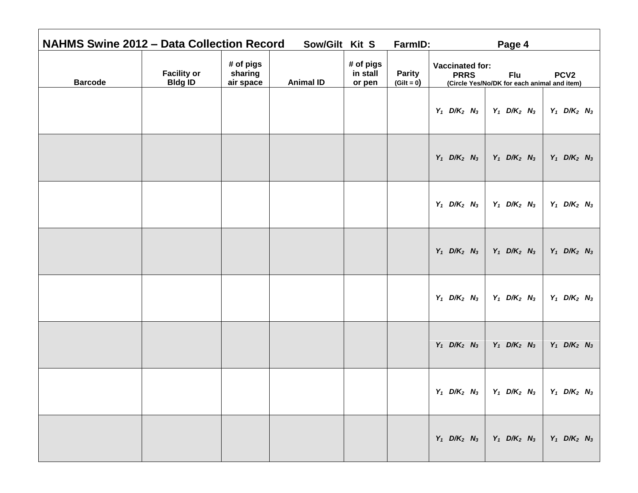| <b>NAHMS Swine 2012 - Data Collection Record</b> |                                      |                                   | Sow/Gilt Kit S   |                                 | FarmID:                       | Page 4                                                                                                                        |
|--------------------------------------------------|--------------------------------------|-----------------------------------|------------------|---------------------------------|-------------------------------|-------------------------------------------------------------------------------------------------------------------------------|
| <b>Barcode</b>                                   | <b>Facility or</b><br><b>Bldg ID</b> | # of pigs<br>sharing<br>air space | <b>Animal ID</b> | # of pigs<br>in stall<br>or pen | <b>Parity</b><br>$(Gilt = 0)$ | <b>Vaccinated for:</b><br><b>PRRS</b><br>PCV <sub>2</sub><br><b>Flu</b><br>(Circle Yes/No/DK for each animal and item)        |
|                                                  |                                      |                                   |                  |                                 |                               | $Y_1$ D/K <sub>2</sub> N <sub>3</sub><br>$Y_1$ D/K <sub>2</sub> N <sub>3</sub><br>$Y_1$ D/K <sub>2</sub> N <sub>3</sub>       |
|                                                  |                                      |                                   |                  |                                 |                               | $Y_1$ D/K <sub>2</sub> N <sub>3</sub><br>$Y_1$ D/K <sub>2</sub> N <sub>3</sub><br>$Y_1$ D/K <sub>2</sub> N <sub>3</sub>       |
|                                                  |                                      |                                   |                  |                                 |                               | $Y_1$ D/K <sub>2</sub> N <sub>3</sub><br>$Y_1$ D/K <sub>2</sub> N <sub>3</sub><br>$Y_1$ D/K <sub>2</sub> N <sub>3</sub>       |
|                                                  |                                      |                                   |                  |                                 |                               | $Y_1$ D/K <sub>2</sub> N <sub>3</sub><br>$Y_1$ D/K <sub>2</sub> N <sub>3</sub><br>$Y_1$ D/K <sub>2</sub> N <sub>3</sub>       |
|                                                  |                                      |                                   |                  |                                 |                               | $Y_1$ D/K <sub>2</sub> N <sub>3</sub><br>$Y_1$ D/K <sub>2</sub> N <sub>3</sub><br>$Y_1$ D/K <sub>2</sub> N <sub>3</sub>       |
|                                                  |                                      |                                   |                  |                                 |                               | $Y_1$ D/K <sub>2</sub> N <sub>3</sub><br>$Y_1$ D/K <sub>2</sub> N <sub>3</sub><br>$Y_1$ D/K <sub>2</sub> N <sub>3</sub>       |
|                                                  |                                      |                                   |                  |                                 |                               | $Y_1$ D/K <sub>2</sub> N <sub>3</sub> Y <sub>1</sub> D/K <sub>2</sub> N <sub>3</sub><br>$Y_1$ D/K <sub>2</sub> N <sub>3</sub> |
|                                                  |                                      |                                   |                  |                                 |                               | $Y_1$ D/K <sub>2</sub> N <sub>3</sub><br>$Y_1$ D/K <sub>2</sub> N <sub>3</sub><br>$Y_1$ D/K <sub>2</sub> N <sub>3</sub>       |